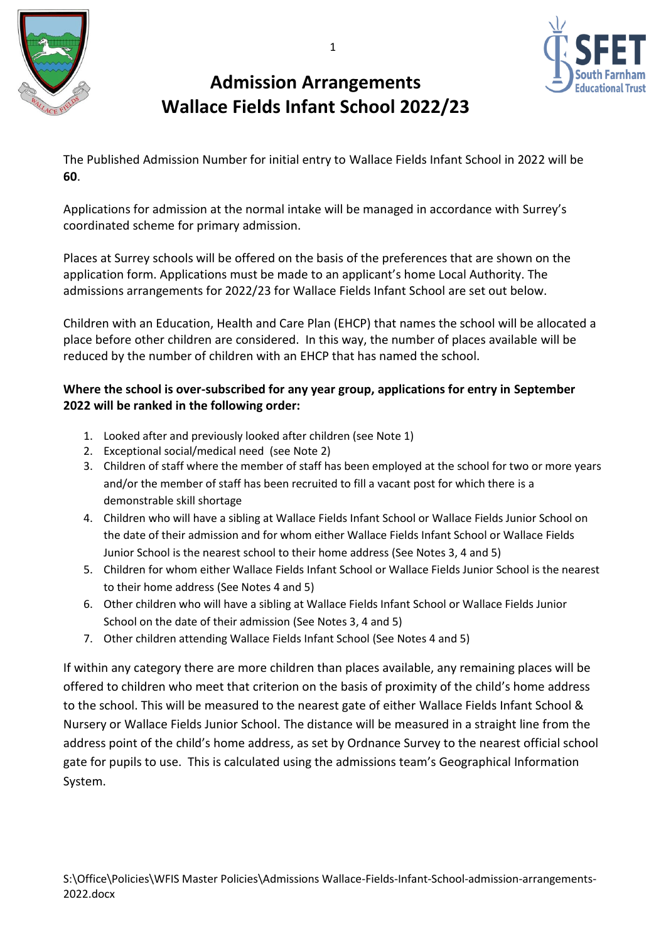





The Published Admission Number for initial entry to Wallace Fields Infant School in 2022 will be **60**.

Applications for admission at the normal intake will be managed in accordance with Surrey's coordinated scheme for primary admission.

Places at Surrey schools will be offered on the basis of the preferences that are shown on the application form. Applications must be made to an applicant's home Local Authority. The admissions arrangements for 2022/23 for Wallace Fields Infant School are set out below.

Children with an Education, Health and Care Plan (EHCP) that names the school will be allocated a place before other children are considered. In this way, the number of places available will be reduced by the number of children with an EHCP that has named the school.

# **Where the school is over-subscribed for any year group, applications for entry in September 2022 will be ranked in the following order:**

- 1. Looked after and previously looked after children (see Note 1)
- 2. Exceptional social/medical need (see Note 2)
- 3. Children of staff where the member of staff has been employed at the school for two or more years and/or the member of staff has been recruited to fill a vacant post for which there is a demonstrable skill shortage
- 4. Children who will have a sibling at Wallace Fields Infant School or Wallace Fields Junior School on the date of their admission and for whom either Wallace Fields Infant School or Wallace Fields Junior School is the nearest school to their home address (See Notes 3, 4 and 5)
- 5. Children for whom either Wallace Fields Infant School or Wallace Fields Junior School is the nearest to their home address (See Notes 4 and 5)
- 6. Other children who will have a sibling at Wallace Fields Infant School or Wallace Fields Junior School on the date of their admission (See Notes 3, 4 and 5)
- 7. Other children attending Wallace Fields Infant School (See Notes 4 and 5)

If within any category there are more children than places available, any remaining places will be offered to children who meet that criterion on the basis of proximity of the child's home address to the school. This will be measured to the nearest gate of either Wallace Fields Infant School & Nursery or Wallace Fields Junior School. The distance will be measured in a straight line from the address point of the child's home address, as set by Ordnance Survey to the nearest official school gate for pupils to use. This is calculated using the admissions team's Geographical Information System.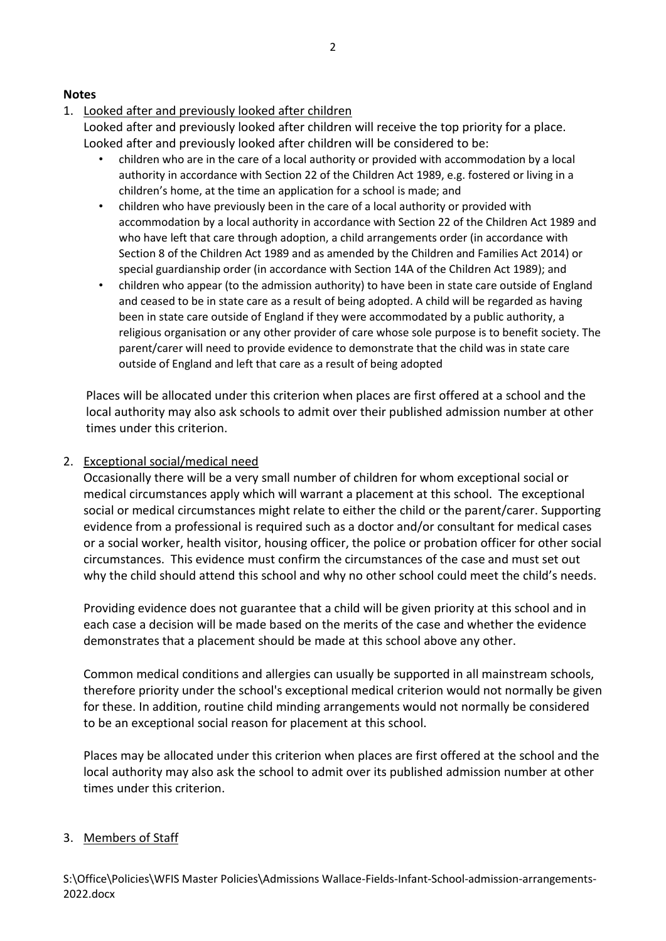### **Notes**

# 1. Looked after and previously looked after children

Looked after and previously looked after children will receive the top priority for a place. Looked after and previously looked after children will be considered to be:

- children who are in the care of a local authority or provided with accommodation by a local authority in accordance with Section 22 of the Children Act 1989, e.g. fostered or living in a children's home, at the time an application for a school is made; and
- children who have previously been in the care of a local authority or provided with accommodation by a local authority in accordance with Section 22 of the Children Act 1989 and who have left that care through adoption, a child arrangements order (in accordance with Section 8 of the Children Act 1989 and as amended by the Children and Families Act 2014) or special guardianship order (in accordance with Section 14A of the Children Act 1989); and
- children who appear (to the admission authority) to have been in state care outside of England and ceased to be in state care as a result of being adopted. A child will be regarded as having been in state care outside of England if they were accommodated by a public authority, a religious organisation or any other provider of care whose sole purpose is to benefit society. The parent/carer will need to provide evidence to demonstrate that the child was in state care outside of England and left that care as a result of being adopted

Places will be allocated under this criterion when places are first offered at a school and the local authority may also ask schools to admit over their published admission number at other times under this criterion.

### 2. Exceptional social/medical need

Occasionally there will be a very small number of children for whom exceptional social or medical circumstances apply which will warrant a placement at this school. The exceptional social or medical circumstances might relate to either the child or the parent/carer. Supporting evidence from a professional is required such as a doctor and/or consultant for medical cases or a social worker, health visitor, housing officer, the police or probation officer for other social circumstances. This evidence must confirm the circumstances of the case and must set out why the child should attend this school and why no other school could meet the child's needs.

Providing evidence does not guarantee that a child will be given priority at this school and in each case a decision will be made based on the merits of the case and whether the evidence demonstrates that a placement should be made at this school above any other.

Common medical conditions and allergies can usually be supported in all mainstream schools, therefore priority under the school's exceptional medical criterion would not normally be given for these. In addition, routine child minding arrangements would not normally be considered to be an exceptional social reason for placement at this school.

Places may be allocated under this criterion when places are first offered at the school and the local authority may also ask the school to admit over its published admission number at other times under this criterion.

#### 3. Members of Staff

S:\Office\Policies\WFIS Master Policies\Admissions Wallace-Fields-Infant-School-admission-arrangements-2022.docx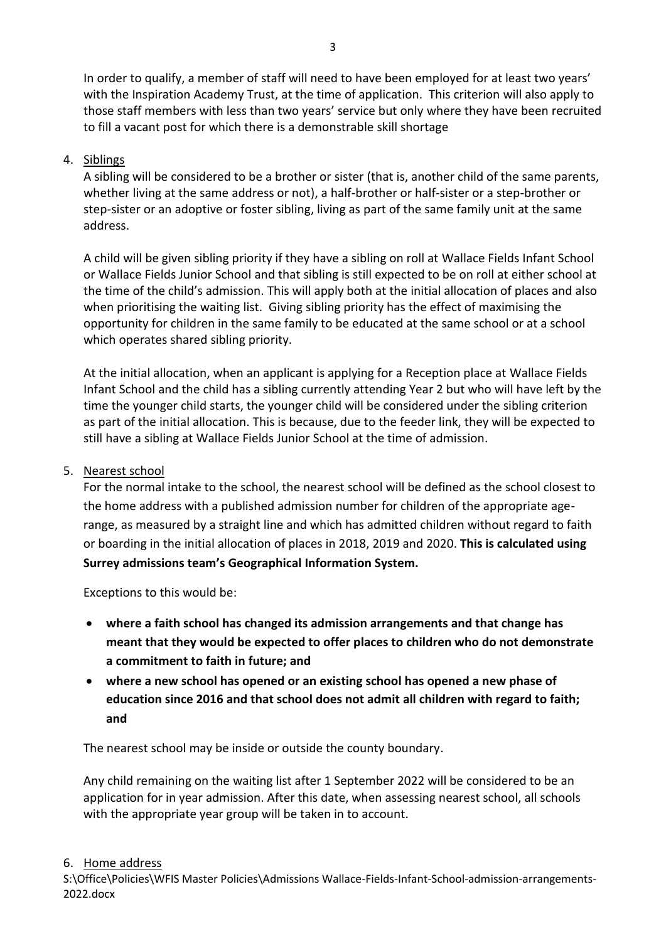In order to qualify, a member of staff will need to have been employed for at least two years' with the Inspiration Academy Trust, at the time of application. This criterion will also apply to those staff members with less than two years' service but only where they have been recruited to fill a vacant post for which there is a demonstrable skill shortage

# 4. Siblings

A sibling will be considered to be a brother or sister (that is, another child of the same parents, whether living at the same address or not), a half-brother or half-sister or a step-brother or step-sister or an adoptive or foster sibling, living as part of the same family unit at the same address.

A child will be given sibling priority if they have a sibling on roll at Wallace Fields Infant School or Wallace Fields Junior School and that sibling is still expected to be on roll at either school at the time of the child's admission. This will apply both at the initial allocation of places and also when prioritising the waiting list. Giving sibling priority has the effect of maximising the opportunity for children in the same family to be educated at the same school or at a school which operates shared sibling priority.

At the initial allocation, when an applicant is applying for a Reception place at Wallace Fields Infant School and the child has a sibling currently attending Year 2 but who will have left by the time the younger child starts, the younger child will be considered under the sibling criterion as part of the initial allocation. This is because, due to the feeder link, they will be expected to still have a sibling at Wallace Fields Junior School at the time of admission.

## 5. Nearest school

For the normal intake to the school, the nearest school will be defined as the school closest to the home address with a published admission number for children of the appropriate agerange, as measured by a straight line and which has admitted children without regard to faith or boarding in the initial allocation of places in 2018, 2019 and 2020. **This is calculated using Surrey admissions team's Geographical Information System.**

Exceptions to this would be:

- **where a faith school has changed its admission arrangements and that change has meant that they would be expected to offer places to children who do not demonstrate a commitment to faith in future; and**
- **where a new school has opened or an existing school has opened a new phase of education since 2016 and that school does not admit all children with regard to faith; and**

The nearest school may be inside or outside the county boundary.

Any child remaining on the waiting list after 1 September 2022 will be considered to be an application for in year admission. After this date, when assessing nearest school, all schools with the appropriate year group will be taken in to account.

#### 6. Home address

S:\Office\Policies\WFIS Master Policies\Admissions Wallace-Fields-Infant-School-admission-arrangements-2022.docx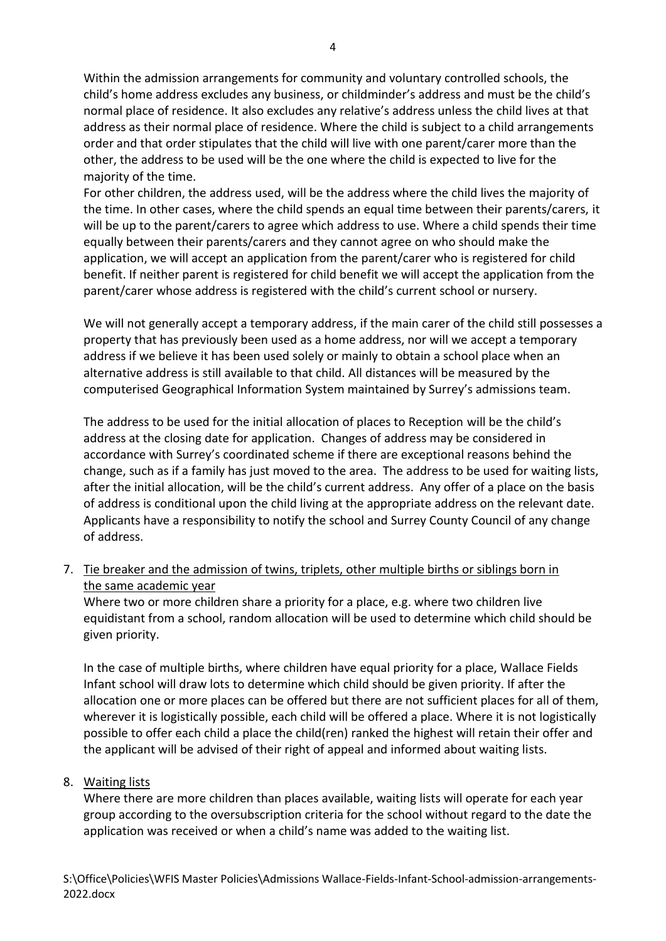Within the admission arrangements for community and voluntary controlled schools, the child's home address excludes any business, or childminder's address and must be the child's normal place of residence. It also excludes any relative's address unless the child lives at that address as their normal place of residence. Where the child is subject to a child arrangements order and that order stipulates that the child will live with one parent/carer more than the other, the address to be used will be the one where the child is expected to live for the majority of the time.

For other children, the address used, will be the address where the child lives the majority of the time. In other cases, where the child spends an equal time between their parents/carers, it will be up to the parent/carers to agree which address to use. Where a child spends their time equally between their parents/carers and they cannot agree on who should make the application, we will accept an application from the parent/carer who is registered for child benefit. If neither parent is registered for child benefit we will accept the application from the parent/carer whose address is registered with the child's current school or nursery.

We will not generally accept a temporary address, if the main carer of the child still possesses a property that has previously been used as a home address, nor will we accept a temporary address if we believe it has been used solely or mainly to obtain a school place when an alternative address is still available to that child. All distances will be measured by the computerised Geographical Information System maintained by Surrey's admissions team.

The address to be used for the initial allocation of places to Reception will be the child's address at the closing date for application. Changes of address may be considered in accordance with Surrey's coordinated scheme if there are exceptional reasons behind the change, such as if a family has just moved to the area. The address to be used for waiting lists, after the initial allocation, will be the child's current address. Any offer of a place on the basis of address is conditional upon the child living at the appropriate address on the relevant date. Applicants have a responsibility to notify the school and Surrey County Council of any change of address.

7. Tie breaker and the admission of twins, triplets, other multiple births or siblings born in the same academic year

Where two or more children share a priority for a place, e.g. where two children live equidistant from a school, random allocation will be used to determine which child should be given priority.

In the case of multiple births, where children have equal priority for a place, Wallace Fields Infant school will draw lots to determine which child should be given priority. If after the allocation one or more places can be offered but there are not sufficient places for all of them, wherever it is logistically possible, each child will be offered a place. Where it is not logistically possible to offer each child a place the child(ren) ranked the highest will retain their offer and the applicant will be advised of their right of appeal and informed about waiting lists.

## 8. Waiting lists

Where there are more children than places available, waiting lists will operate for each year group according to the oversubscription criteria for the school without regard to the date the application was received or when a child's name was added to the waiting list.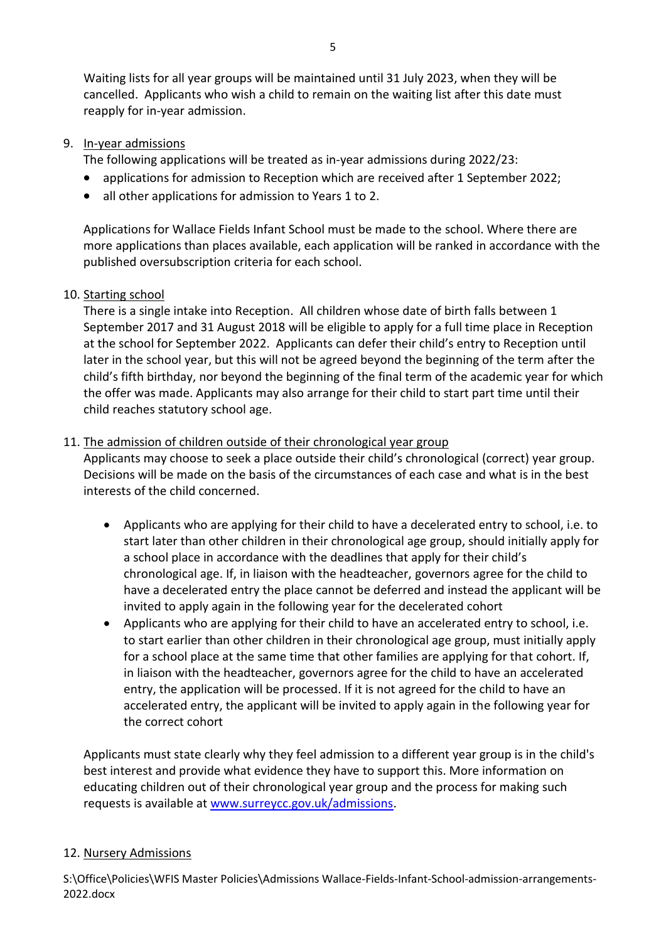Waiting lists for all year groups will be maintained until 31 July 2023, when they will be cancelled. Applicants who wish a child to remain on the waiting list after this date must reapply for in-year admission.

# 9. In-year admissions

The following applications will be treated as in-year admissions during 2022/23:

- applications for admission to Reception which are received after 1 September 2022;
- all other applications for admission to Years 1 to 2.

Applications for Wallace Fields Infant School must be made to the school. Where there are more applications than places available, each application will be ranked in accordance with the published oversubscription criteria for each school.

## 10. Starting school

There is a single intake into Reception. All children whose date of birth falls between 1 September 2017 and 31 August 2018 will be eligible to apply for a full time place in Reception at the school for September 2022. Applicants can defer their child's entry to Reception until later in the school year, but this will not be agreed beyond the beginning of the term after the child's fifth birthday, nor beyond the beginning of the final term of the academic year for which the offer was made. Applicants may also arrange for their child to start part time until their child reaches statutory school age.

## 11. The admission of children outside of their chronological year group

Applicants may choose to seek a place outside their child's chronological (correct) year group. Decisions will be made on the basis of the circumstances of each case and what is in the best interests of the child concerned.

- Applicants who are applying for their child to have a decelerated entry to school, i.e. to start later than other children in their chronological age group, should initially apply for a school place in accordance with the deadlines that apply for their child's chronological age. If, in liaison with the headteacher, governors agree for the child to have a decelerated entry the place cannot be deferred and instead the applicant will be invited to apply again in the following year for the decelerated cohort
- Applicants who are applying for their child to have an accelerated entry to school, i.e. to start earlier than other children in their chronological age group, must initially apply for a school place at the same time that other families are applying for that cohort. If, in liaison with the headteacher, governors agree for the child to have an accelerated entry, the application will be processed. If it is not agreed for the child to have an accelerated entry, the applicant will be invited to apply again in the following year for the correct cohort

Applicants must state clearly why they feel admission to a different year group is in the child's best interest and provide what evidence they have to support this. More information on educating children out of their chronological year group and the process for making such requests is available at [www.surreycc.gov.uk/admissions.](http://www.surreycc.gov.uk/admissions)

## 12. Nursery Admissions

S:\Office\Policies\WFIS Master Policies\Admissions Wallace-Fields-Infant-School-admission-arrangements-2022.docx